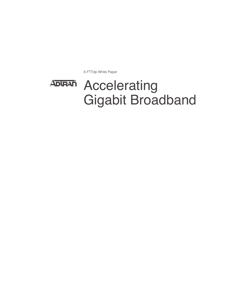A FTTdp White Paper

# Accelerating **ADIRAN** Gigabit Broadband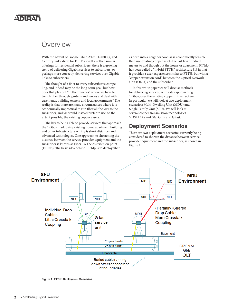# NDAI

# Overview

With the advent of Google Fiber, AT&T LightGig, and CenturyLink's drive for FTTP as well as other similar offerings for residential subscribers, there is a growing trend of delivering Gigabit services to subscribers, or perhaps more correctly, delivering services over Gigabit links to subscribers.

The thought of a fiber to every subscriber is compelling, and indeed may be the long-term goal, but how does that play out "in the trenches" where we have to trench fiber through gardens and fences and deal with easements, building owners and local governments? The reality is that there are many circumstances where it is economically impractical to run fiber all the way to the subscriber, and we would instead prefer to use, to the extent possible, the existing copper assets.

The key to being able to provide services that approach the 1 Gbps mark using existing home, apartment building and other infrastructure wiring is short distances and advanced technologies. One approach to shortening the distance between the service provider equipment and the subscriber is known as Fiber To The distribution point (FTTdp). The basic idea behind FTTdp is to deploy fiber

as deep into a neighborhood as is economically feasible, then use existing copper assets the last few hundred meters to and though out the house or apartment. FTTdp has been called a "hybrid FTTH" architecture [1] in that it provides a user experience similar to FTTH, but with a "copper extension cord" between the Optical Network Unit (ONU) and the subscriber.

In this white paper we will discuss methods for delivering services, with rates approaching 1 Gbps, over the existing copper infrastructure. In particular, we will look at two deployment scenarios: Multi-Dwelling Unit (MDU) and Single Family Unit (SFU). We will look at several copper transmission technologies: VDSL2 17a and 30a, G.hn and G.fast.

### **Deployment Scenarios**

There are two deployment scenarios currently being considered to shorten the distance between service provider equipment and the subscriber, as shown in Figure 1.



**Figure 1: FTTdp Deployment Scenarios**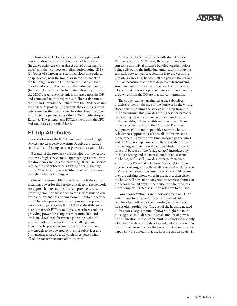In brownfield deployments, existing copper twisted pairs run down a street or down rear lot boundaries (in cables which are either direct buried or strung from poles) and then connect to a "distribution point" (DP) [2] (otherwise known as a terminal block in a pedestal or splice case) near the homes or in the basement of the building. From the DP, the twisted pairs are then distributed via the drop wires to the individual homes (in the SFU case) or to the individual dwelling units (in the MDU case). A service unit is mounted near the DP and connected to the drop wires. A fiber is also run to the DP, and provides the uplink from the DP service unit to the service provider. In this way, the existing twisted pair is used as the last drop to the subscriber. The fiber uplink could operate using either PON or point-to-point Ethernet. The general term FTTdp covers both the SFU and MDU cases described here.

# **FTTdp Attributes**

Some attributes of the FTTdp architecture are 1) high service rate, 2) reverse powering, 3) cable crosstalk, 4) self-install and 5) emphasis on power conservation [3].

Because of the proximity of subscribers to the service unit, very-high service rates (approaching 1 Gbps) over the drop wires are possible, providing "fiber-like" service rates to the end subscriber. Utilizing fiber all the way to the DP will also approach "fiber-like" reliability even though the last link is copper.

One of the issues with this architecture is the cost of installing power for the service unit deep in the network. An approach to overcome this is to provide reverse powering from the subscriber to the service unit, which avoids the expense of running power lines to the service unit. There is a precedent for using subscriber power for network equipment with FTTH ONUs, the difference here is that with FTTdp, multiple subscribers could be providing power for a single service unit. Standards are being developed for reverse powering technical requirements. The main technical challenges are 1) getting the power consumption of the service unit low enough to be powered by the first subscriber and 2) managing a service unit which loses power when all of the subscribers turn off the power.

Another architectural issue is with shared cables. Particularly in the MDU case, the copper pairs can run some non-trivial distance bundled together before being split out to the individual units, thus introducing crosstalk between pairs. A solution is to use vectoring (crosstalk canceling) between all the pairs in the service unit, or to ensure that no two devices are transmitting simultaneously (crosstalk avoidance). There are cases where crosstalk is not a problem, for example where the drop wires from the DP are in a star configuration.

The copper can be terminated at the subscriber premises either on the side of the house or in the wiring closet, thus separating the service unit drop from the in-home wiring. This provides the highest performance by avoiding the noise and reflections caused by the in-home wiring. However, this requires a technician to be dispatched to install the Customer Premises Equipment (CPE) and to possibly rewire the house. A lower cost approach is self-install. In this instance, the service runs over the existing in-home phone wires and the CPE is simply mailed to the subscriber where it can be plugged into the wall jack. Self-install has several issues: 1) because of the "bridged taps" introduced by in-house wiring and the introduction of noise from the house, self-install provides lower performance, 2) providing Plain Old Telephone Service (POTS) and reverse powering with self-install is very difficult, 3) even if VoIP is being used, because the service would be run over the existing phone wires in the house, then either the house will have to be converted to wireless phones, or the second pair (if any) in the house must be used, or a more complex POTS distribution will have to be used.

Power conservation is an important aspect of FTTdp and not just to be "green". These deployments often require a hermetically sealed housing and the use of fans is often prohibitive. The cost of the housing needed to dissipate a large amount of power is higher than the housing needed to dissipate a small amount of power. The implication is that power must be conserved not only when there is data or no data to send, but also when there is much data to send since the power dissipation must be kept below the amount that the housing can dissipate [4].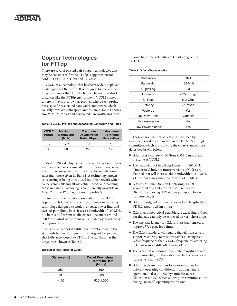# **Copper Technologies for FTTdp**

There are several twisted pair copper technologies that may be considered for the FTTdp "copper extension cord": 1) VDSL2, 2) G.hn and 3) G.fast.

VDSL2 is a technology that has been widely deployed in all regions of the world. It is designed to operate over longer distances than FTTdp, but can be used on short distances like the FTTdp environment. VDSL2 comes in different "flavors" known as profiles, where each profile has a specific associated bandwidth and power, which roughly translates into speed and distance. Table 1 shows two VDSL2 profiles and associated bandwidth and rates.

### **Table 1: VDSL2 Profiles and Associated Bandwidth and Rates**

| <b>VDSL2</b><br><b>Profile</b> | <b>Maximum</b><br><b>Bandwidth</b><br>(MHz) | <b>Maximum</b><br><b>Downstream</b><br>Rate (Mbps) | <b>Maximum</b><br><b>Upstream</b><br>Rate (Mbps) |
|--------------------------------|---------------------------------------------|----------------------------------------------------|--------------------------------------------------|
| 17                             | 177                                         | 120                                                | 40                                               |
| 30                             | 30                                          | 200                                                | 120                                              |

Most VDSL2 deployments in service today do not have any means to cancel crosstalk from adjacent pairs, which means they are generally limited to substantially lower rates than those given in Table 1. A technology known as vectoring is being introduced into the network which cancels crosstalk and allows actual speeds approaching those in Table 1. Vectoring is commercially available in VDSL2 profile 17 today, but not in profile 30.

Finally, another possible contender for the FTTdp application is G.hn. This is actually a home networking technology designed to work over coax, power line, and twisted-pair phone lines. It uses a bandwidth of 100 MHz, but because of certain inefficiencies tops out at around 800 Mbps. Most of the focus on G.hn deployments today is on powerlines.

G.fast is a technology still under development in the standards bodies. It is specifically designed to operate on short-distance loops like FTTdp. The standard has the target rates shown in Table 2.

#### **Table 2: Target Rates for G.fast**

| Distance (m) | <b>Target Downstream</b><br>+ Upstream Rate<br>(Mbps) |
|--------------|-------------------------------------------------------|
| 250          | 150                                                   |
| 100          | 500                                                   |
| $<$ 100      | 500-1,000                                             |

Some basic characteristics of G.fast are given in Table 3.

### **Table 3: G.fast Characteristics**

| Modulation       | <b>DMT</b>      |  |
|------------------|-----------------|--|
| <b>Bandwidth</b> | 106 MHz         |  |
| Duplexing        | TDD             |  |
| Distance         | $<$ 250 $m$ Typ |  |
| <b>Bit Rate</b>  | $<$ 1.2 Gbps    |  |
| Latency          | <1 msec         |  |
| Vectored         | Yes             |  |
| Up/Down Ratio    | Variable        |  |
| Retransmission   | Yes             |  |
| Low Power Modes  | Yes             |  |
|                  |                 |  |

These characteristics of G.fast (as specified by agreements and draft standard in the ITU-T SG15/Q4 committee, which is producing the G.fast standard) are described briefly below.

- G.fast uses Discrete Multi-Tone (DMT) modulation, the same as VDSL2.
- $\blacksquare$  The bandwidth of initial deployments is 106 MHz (similar to G.hn), but future versions of G.fast are planned that will increase this bandwidth to 212 MHz. VDSL2 has a maximum bandwidth of 30 MHz.
- G.fast uses Time Division Duplexing (TDD), as opposed to VDSL2 which uses Frequency Division Duplexing (FDD). (See paragraph below for more details.)
- G.fast is designed for much shorter loop lengths than VDSL2, around 250m or less.
- G.fast has a theoretical peak bit rate exceeding 1 Gbps, but this rate can only be achieved on very short loops.
- The one-way latency for G.fast is less than 1msec, to improve Web page load times.
- $\blacksquare$  The G.fast standard will require that all transceivers support vectoring. Because crosstalk is stronger at G.fast frequencies than VDSL2 frequencies, vectoring in G.fast is more difficult than in VDSL2.
- $\blacksquare$  The G.fast ratio of downstream rate to upstream rate is provisionable, but this ratio must be the same for all transceivers in the DP.
- <sup>n</sup> G.fast has defined various low-power modes for different operating conditions, including battery operation. It also utilizes Dynamic Resources Allocation (DRA), which allows power minimization during "normal" operating conditions.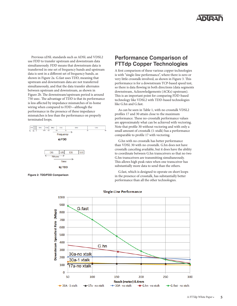

Previous xDSL standards such as ADSL and VDSL2 use FDD to transfer upstream and downstream data simultaneously. FDD means that downstream data is transferred in one set of frequency bands and upstream data is sent in a different set of frequency bands, as shown in Figure 2a. G.fast uses TDD, meaning that upstream and downstream data are not transferred simultaneously, and that the data transfer alternates between upstream and downstream, as shown in Figure 2b. The downstream/upstream period is around 750 usec. The advantage of TDD is that its performance is less affected by impedance mismatches of in-home wiring when compared to FDD—although the performance in the presence of these impedance mismatches is less than the performance on properly terminated loops.



# **Performance Comparison of FTTdp Copper Technologies**

A first comparison of these various copper technologies is with "single-line performance", where there is zero or very little crosstalk involved, as shown in Figure 3. This performance is for a downstream TCP-based speed test, so there is data flowing in both directions (data segments downstream, Acknowledgements (ACKs) upstream). This is an important point for comparing FDD-based technology like VDSL2 with TDD-based technologies like G.hn and G.fast.

As can be seen in Table 1, with no crosstalk VDSL2 profiles 17 and 30 attain close to the maximum performance. These no-crosstalk performance values are approximately what can be achieved with vectoring. Note that profile 30 without vectoring and with only a small amount of crosstalk (1-xtalk) has a performance comparable to profile 17 with vectoring.

G.hn with no crosstalk has better performance than VDSL 30 with no crosstalk. G.hn does not have crosstalk canceling available, but it does have the ability to coordinate between G.hn transceivers so that no two G.hn transceivers are transmitting simultaneously. This allows high peak rates when one transceiver has substantially more data to send than the others.

G.fast, which is designed to operate on short loops in the presence of crosstalk, has substantially better performance than all the other technologies.



**Single-Line Performance**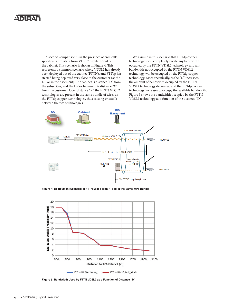# NDAI

A second comparison is in the presence of crosstalk, specifically crosstalk from VDSL2 profile 17 out of the cabinet. This scenario is shown in Figure 4. This represents a common scenario where VDSL2 has already been deployed out of the cabinet (FTTN), and FTTdp has started being deployed very close to the customer (at the DP or in the basement). The cabinet is distance "D" from the subscriber, and the DP or basement is distance "X" from the customer. Over distance "X", the FTTN VDSL2 technologies are present in the same bundle of wires as the FTTdp copper technologies, thus causing crosstalk between the two technologies.

We assume in this scenario that FTTdp copper technologies will completely vacate any bandwidth occupied by the FTTN VDSL2 technology, and any bandwidth not occupied by the FTTN VDSL2 technology will be occupied by the FTTdp copper technology. More specifically, as the "D" increases, the amount of bandwidth occupied by the FTTN VDSL2 technology decreases, and the FTTdp copper technology increases to occupy the available bandwidth. Figure 5 shows the bandwidth occupied by the FTTN VDSL2 technology as a function of the distance "D".



**Figure 4: Deployment Scenario of FTTN Mixed With FTTdp in the Same Wire Bundle**



**Figure 5: Bandwidth Used by FTTN VDSL2 as a Function of Distance "D"**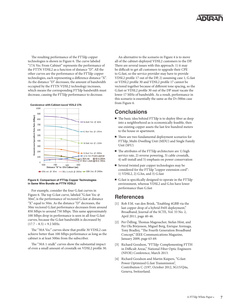

The resulting performance of the FTTdp copper technologies is shown in Figure 6. The curve labeled "17A Vec From Cabinet" represents the performance of the FTTN VDSL2 as a function of distance "D". All the other curves are the performance of the FTTdp copper technologies, each representing a difference distance "X". As the distance "D" decreases, the amount of bandwidth occupied by the FTTN VDSL2 technology increases, which means the corresponding FTTdp bandwidth must decrease, causing the FTTdp performance to decrease.

Coexistence with Cabinet-based VDSL2 17A



#### **Figure 6: Comparison of FTTdp Copper Technologies in Same Wire Bundle as FTTN VDSL2**

For example, consider the four G.fast curves in Figure 6. The top G.fast curve, labeled "G.fast Vec @ 50m", is the performance of vectored G.fast at distance "X" equal to 50m. As the distance "D" decreases, the 50m vectored G.fast performance decreases from around 850 Mbps to around 750 Mbps. This same approximately 100 Mbps drop in performance is seen in all four G.fast curves, because the G.fast bandwidth is decreased by  $(17.7 - 8.5) = 9.2$  MHz.

The "30A Vec" curves show that profile 30 VDSL2 can achieve better than 100 Mbps performance as long as the cabinet is at least 500m from the subscriber.

The "30A 1-xtalk" curves show the substantial impact of even a small amount of crosstalk on VDSL2 profile 30.

An alternative to the scenario in Figure 4 is to move all of the cabinet-deployed VDSL2 customers to the DP. There are several issues with this approach: 1) it may be difficult to get all customers to upgrade their CPE to G.fast, so the service provider may have to provide VDSL2 profile 17 out of the DP, 2) assuming case 1, G.fast or VDSL2 profile 30 and VDSL2 profile 17 cannot be vectored together because of different tone spacing, so the G.fast or VDSL2 profile 30 out of the DP must vacate the lower 17 MHz of bandwidth. As a result, performance in this scenario is essentially the same as the D=300m case from Figure 6.

### **Conclusions**

- The basic idea behind FTTdp is to deploy fiber as deep into a neighborhood as is economically feasible, then use existing copper assets the last few hundred meters to the house or apartment.
- $\blacksquare$  There are two fundamental deployment scenarios for FTTdp, Multi-Dwelling Unit (MDU) and Single Family Unit (SFU)
- The attributes of the FTTdp architecture are 1) high service rate, 2) reverse powering, 3) cable crosstalk, 4) self-install and 5) emphasis on power conservation
- Several twisted pair copper technologies may be considered for the FTTdp "copper extension cord": 1) VDSL2, 2) G.hn, and 3) G.fast
- <sup>n</sup> G.fast is specifically designed to operate in the FTTdp environment, whereas VDSL2 and G.hn have lower performance than G.fast

### **References**

- [1] Rob F.M. van den Brink, "Enabling 4GBB via the last copper drop of a hybrid FttH deployment," Broadband, Journal of the SCTE, Vol. 33 No. 2, April 2011, page 40-46.
- [2] Per Ödling, Thomas Magesacher, Stefan Höst, and Per Ola Börjesson, Miguel Berg, Enrique Areizaga, Tony Bradley, "The Fourth Generation Broadband Concept," IEEE Communications Magazine, January 2009, page 63-69.
- [3] Richard Goodson, "FTTdp: Complementing FTTH in Difficult Areas," National Fiber Optic Engineers (NFOE) Conference, March 2013.
- [4] Richard Goodson and Martin Kuipers, "G.fast: Power Optimized G.fast Transmission", Contribution C-2197, October 2012, SG15/Q4a, Geneva, Switzerland.